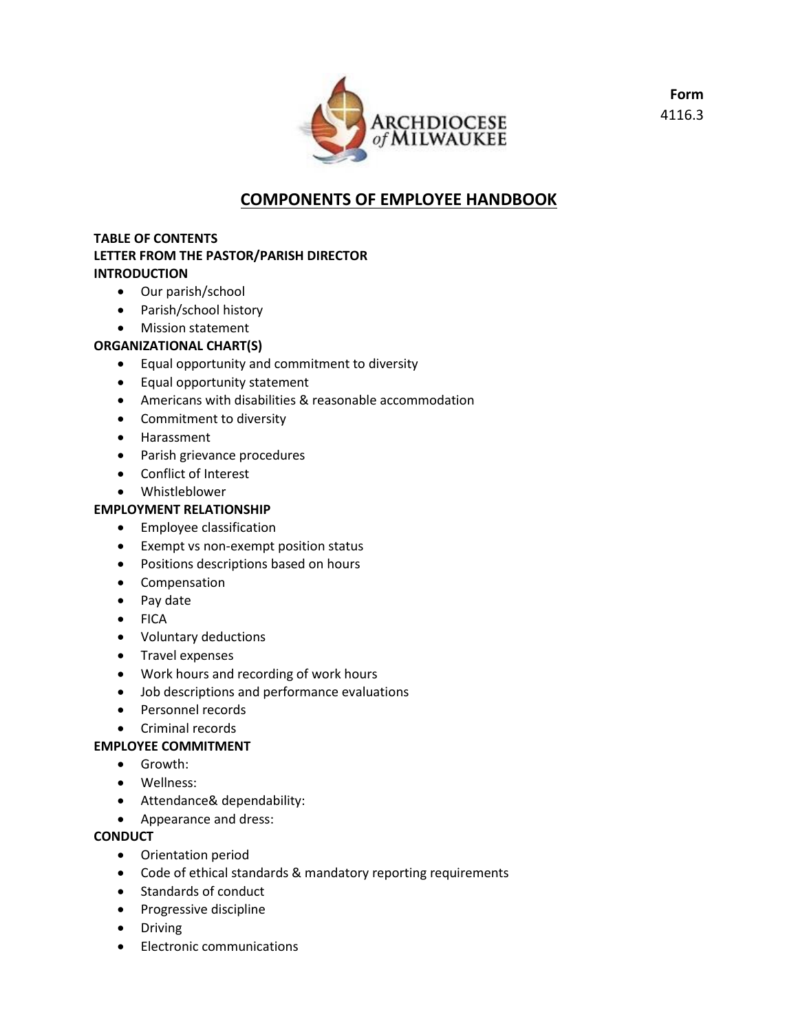

**Form** 4116.3

# **COMPONENTS OF EMPLOYEE HANDBOOK**

## **TABLE OF CONTENTS LETTER FROM THE PASTOR/PARISH DIRECTOR INTRODUCTION**

- Our parish/school
- Parish/school history
- Mission statement

## **ORGANIZATIONAL CHART(S)**

- Equal opportunity and commitment to diversity
- Equal opportunity statement
- Americans with disabilities & reasonable accommodation
- Commitment to diversity
- Harassment
- Parish grievance procedures
- Conflict of Interest
- Whistleblower

## **EMPLOYMENT RELATIONSHIP**

- **•** Employee classification
- Exempt vs non-exempt position status
- Positions descriptions based on hours
- Compensation
- Pay date
- FICA
- Voluntary deductions
- Travel expenses
- Work hours and recording of work hours
- Job descriptions and performance evaluations
- Personnel records
- Criminal records

### **EMPLOYEE COMMITMENT**

- Growth:
- Wellness:
- Attendance& dependability:
- Appearance and dress:

### **CONDUCT**

- Orientation period
- Code of ethical standards & mandatory reporting requirements
- Standards of conduct
- Progressive discipline
- Driving
- Electronic communications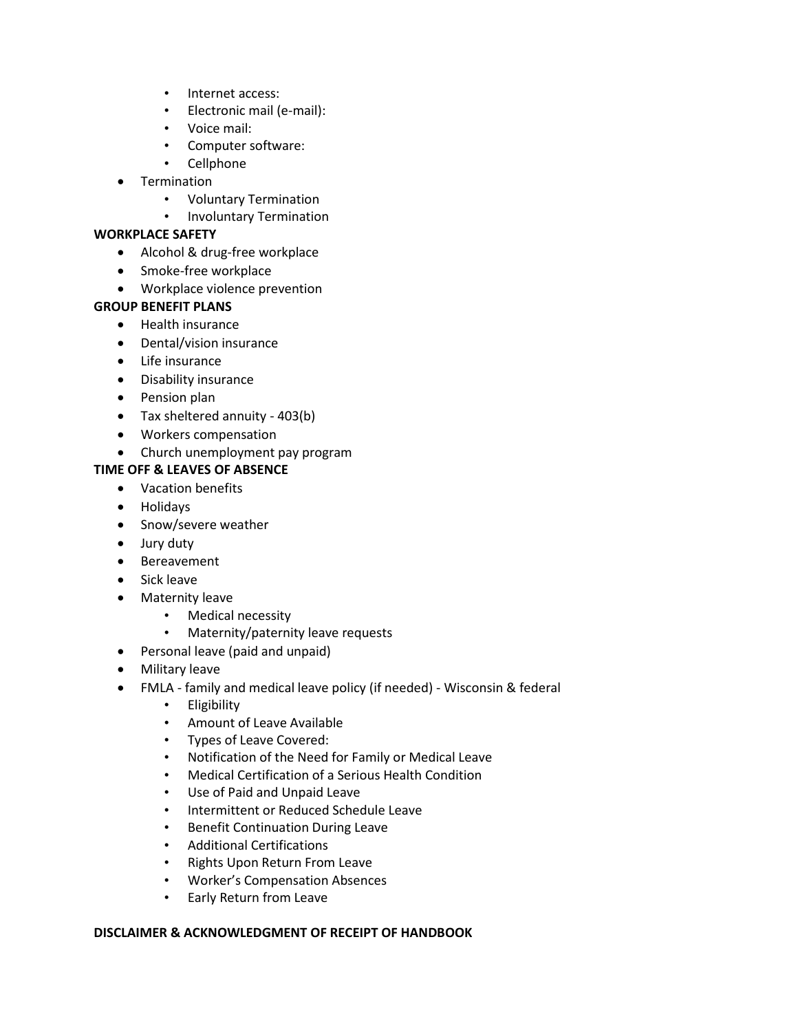- Internet access:
- Electronic mail (e-mail):
- Voice mail:
- Computer software:
- Cellphone
- Termination
	- Voluntary Termination
	- Involuntary Termination

#### **WORKPLACE SAFETY**

- Alcohol & drug-free workplace
- Smoke-free workplace
- Workplace violence prevention

#### **GROUP BENEFIT PLANS**

- Health insurance
- Dental/vision insurance
- Life insurance
- Disability insurance
- Pension plan
- Tax sheltered annuity 403(b)
- Workers compensation
- Church unemployment pay program

### **TIME OFF & LEAVES OF ABSENCE**

- Vacation benefits
- Holidays
- Snow/severe weather
- Jury duty
- Bereavement
- Sick leave
- Maternity leave
	- Medical necessity
	- Maternity/paternity leave requests
- Personal leave (paid and unpaid)
- Military leave
- FMLA family and medical leave policy (if needed) Wisconsin & federal
	- Eligibility
	- Amount of Leave Available
	- Types of Leave Covered:
	- Notification of the Need for Family or Medical Leave
	- Medical Certification of a Serious Health Condition
	- Use of Paid and Unpaid Leave
	- Intermittent or Reduced Schedule Leave
	- Benefit Continuation During Leave
	- Additional Certifications
	- Rights Upon Return From Leave
	- Worker's Compensation Absences
	- Early Return from Leave

#### **DISCLAIMER & ACKNOWLEDGMENT OF RECEIPT OF HANDBOOK**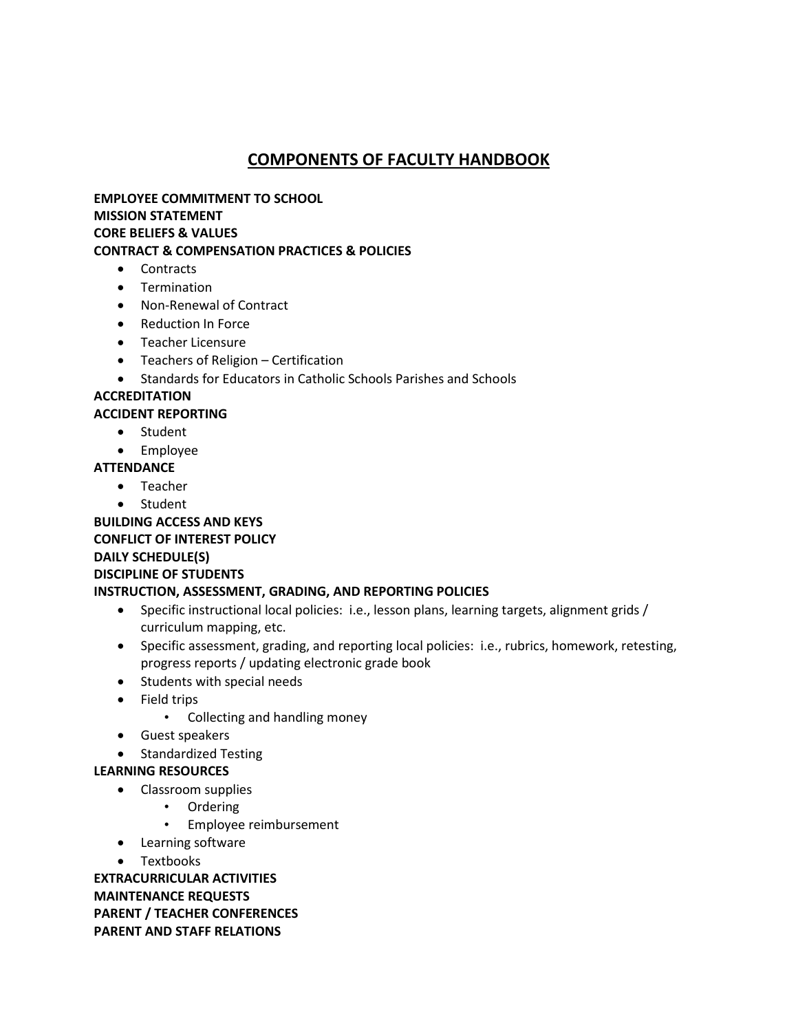# **COMPONENTS OF FACULTY HANDBOOK**

**EMPLOYEE COMMITMENT TO SCHOOL MISSION STATEMENT CORE BELIEFS & VALUES CONTRACT & COMPENSATION PRACTICES & POLICIES**

- Contracts
- **•** Termination
- Non-Renewal of Contract
- Reduction In Force
- Teacher Licensure
- Teachers of Religion Certification
- Standards for Educators in Catholic Schools Parishes and Schools

# **ACCREDITATION**

#### **ACCIDENT REPORTING**

- Student
- Employee
- **ATTENDANCE**
	- Teacher
	- Student

**BUILDING ACCESS AND KEYS CONFLICT OF INTEREST POLICY DAILY SCHEDULE(S) DISCIPLINE OF STUDENTS**

#### **INSTRUCTION, ASSESSMENT, GRADING, AND REPORTING POLICIES** • Specific instructional local policies: i.e., lesson plans, learning targets, alignment grids /

- curriculum mapping, etc.
- Specific assessment, grading, and reporting local policies: i.e., rubrics, homework, retesting, progress reports / updating electronic grade book
- Students with special needs
- Field trips
	- Collecting and handling money
- Guest speakers
- Standardized Testing

### **LEARNING RESOURCES**

- Classroom supplies
	- Ordering
		- Employee reimbursement
- Learning software
- Textbooks

**EXTRACURRICULAR ACTIVITIES MAINTENANCE REQUESTS PARENT / TEACHER CONFERENCES PARENT AND STAFF RELATIONS**